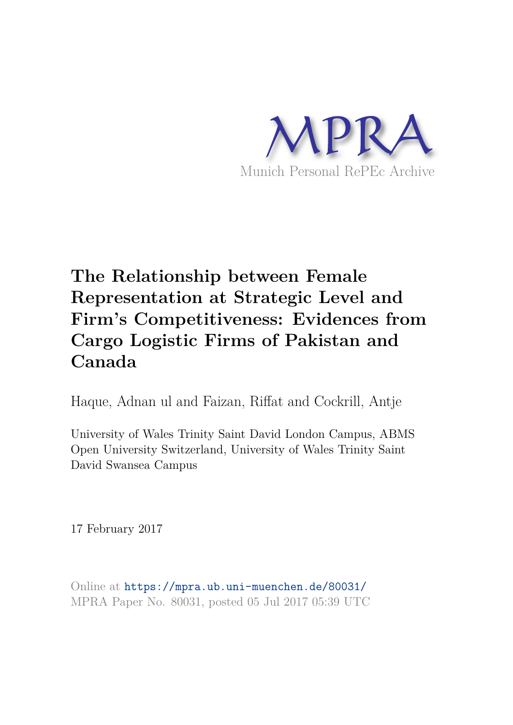

# **The Relationship between Female Representation at Strategic Level and Firm's Competitiveness: Evidences from Cargo Logistic Firms of Pakistan and Canada**

Haque, Adnan ul and Faizan, Riffat and Cockrill, Antje

University of Wales Trinity Saint David London Campus, ABMS Open University Switzerland, University of Wales Trinity Saint David Swansea Campus

17 February 2017

Online at https://mpra.ub.uni-muenchen.de/80031/ MPRA Paper No. 80031, posted 05 Jul 2017 05:39 UTC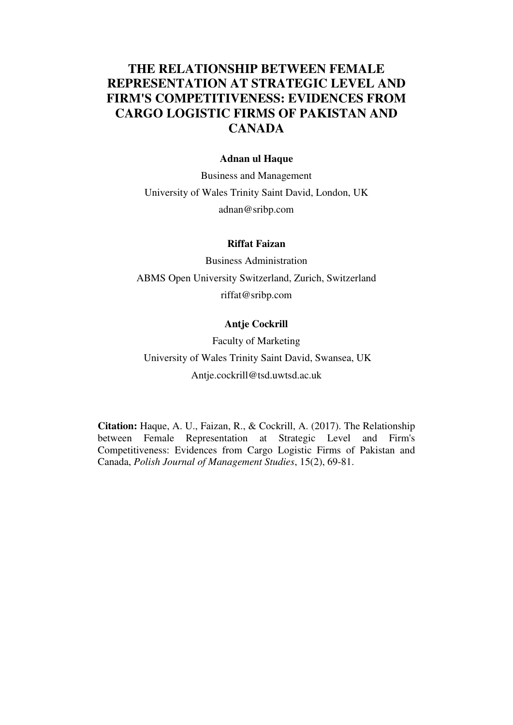# **THE RELATIONSHIP BETWEEN FEMALE REPRESENTATION AT STRATEGIC LEVEL AND FIRM'S COMPETITIVENESS: EVIDENCES FROM CARGO LOGISTIC FIRMS OF PAKISTAN AND CANADA**

#### **Adnan ul Haque**

Business and Management University of Wales Trinity Saint David, London, UK adnan@sribp.com

#### **Riffat Faizan**

Business Administration ABMS Open University Switzerland, Zurich, Switzerland riffat@sribp.com

#### **Antje Cockrill**

Faculty of Marketing University of Wales Trinity Saint David, Swansea, UK Antje.cockrill@tsd.uwtsd.ac.uk

**Citation:** Haque, A. U., Faizan, R., & Cockrill, A. (2017). The Relationship between Female Representation at Strategic Level and Firm's Competitiveness: Evidences from Cargo Logistic Firms of Pakistan and Canada, *Polish Journal of Management Studies*, 15(2), 69-81.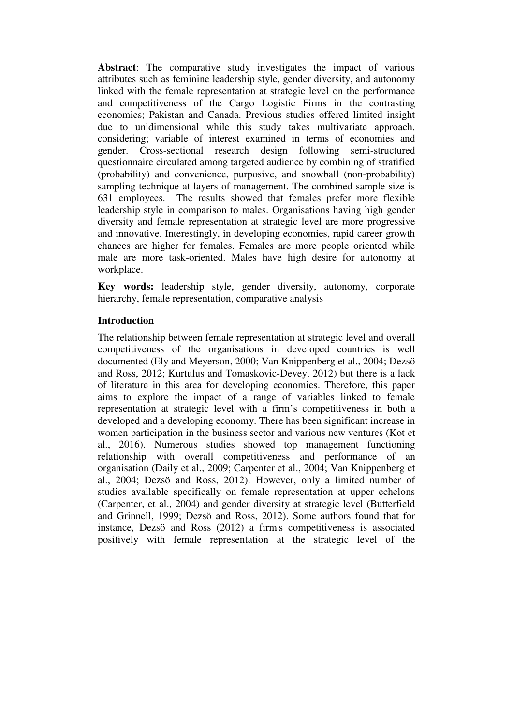**Abstract**: The comparative study investigates the impact of various attributes such as feminine leadership style, gender diversity, and autonomy linked with the female representation at strategic level on the performance and competitiveness of the Cargo Logistic Firms in the contrasting economies; Pakistan and Canada. Previous studies offered limited insight due to unidimensional while this study takes multivariate approach, considering; variable of interest examined in terms of economies and gender. Cross-sectional research design following semi-structured questionnaire circulated among targeted audience by combining of stratified (probability) and convenience, purposive, and snowball (non-probability) sampling technique at layers of management. The combined sample size is 631 employees. The results showed that females prefer more flexible leadership style in comparison to males. Organisations having high gender diversity and female representation at strategic level are more progressive and innovative. Interestingly, in developing economies, rapid career growth chances are higher for females. Females are more people oriented while male are more task-oriented. Males have high desire for autonomy at workplace.

**Key words:** leadership style, gender diversity, autonomy, corporate hierarchy, female representation, comparative analysis

#### **Introduction**

The relationship between female representation at strategic level and overall competitiveness of the organisations in developed countries is well documented (Ely and Meyerson, 2000; Van Knippenberg et al., 2004; Dezsö and Ross, 2012; Kurtulus and Tomaskovic-Devey, 2012) but there is a lack of literature in this area for developing economies. Therefore, this paper aims to explore the impact of a range of variables linked to female representation at strategic level with a firm's competitiveness in both a developed and a developing economy. There has been significant increase in women participation in the business sector and various new ventures (Kot et al., 2016). Numerous studies showed top management functioning relationship with overall competitiveness and performance of an organisation (Daily et al., 2009; Carpenter et al., 2004; Van Knippenberg et al., 2004; Dezsö and Ross, 2012). However, only a limited number of studies available specifically on female representation at upper echelons (Carpenter, et al., 2004) and gender diversity at strategic level (Butterfield and Grinnell, 1999; Dezsö and Ross, 2012). Some authors found that for instance, Dezsö and Ross (2012) a firm's competitiveness is associated positively with female representation at the strategic level of the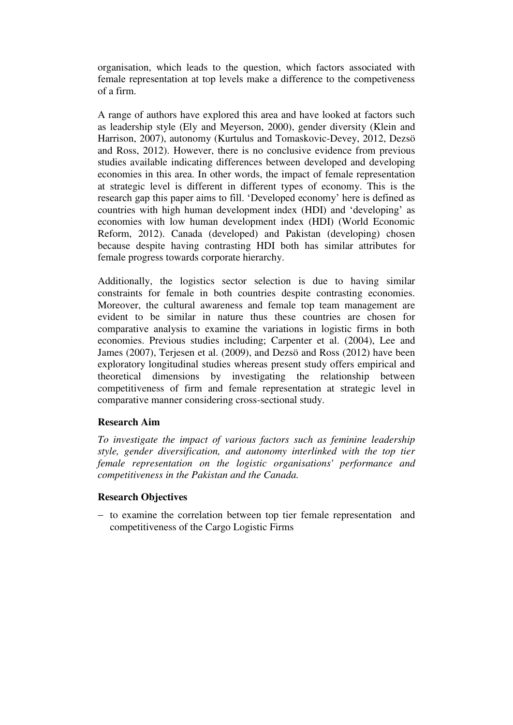organisation, which leads to the question, which factors associated with female representation at top levels make a difference to the competiveness of a firm.

A range of authors have explored this area and have looked at factors such as leadership style (Ely and Meyerson, 2000), gender diversity (Klein and Harrison, 2007), autonomy (Kurtulus and Tomaskovic-Devey, 2012, Dezsö and Ross, 2012). However, there is no conclusive evidence from previous studies available indicating differences between developed and developing economies in this area. In other words, the impact of female representation at strategic level is different in different types of economy. This is the research gap this paper aims to fill. 'Developed economy' here is defined as countries with high human development index (HDI) and 'developing' as economies with low human development index (HDI) (World Economic Reform, 2012). Canada (developed) and Pakistan (developing) chosen because despite having contrasting HDI both has similar attributes for female progress towards corporate hierarchy.

Additionally, the logistics sector selection is due to having similar constraints for female in both countries despite contrasting economies. Moreover, the cultural awareness and female top team management are evident to be similar in nature thus these countries are chosen for comparative analysis to examine the variations in logistic firms in both economies. Previous studies including; Carpenter et al. (2004), Lee and James (2007), Terjesen et al. (2009), and Dezsö and Ross (2012) have been exploratory longitudinal studies whereas present study offers empirical and theoretical dimensions by investigating the relationship between competitiveness of firm and female representation at strategic level in comparative manner considering cross-sectional study.

# **Research Aim**

*To investigate the impact of various factors such as feminine leadership style, gender diversification, and autonomy interlinked with the top tier female representation on the logistic organisations' performance and competitiveness in the Pakistan and the Canada.*

#### **Research Objectives**

- to examine the correlation between top tier female representation and competitiveness of the Cargo Logistic Firms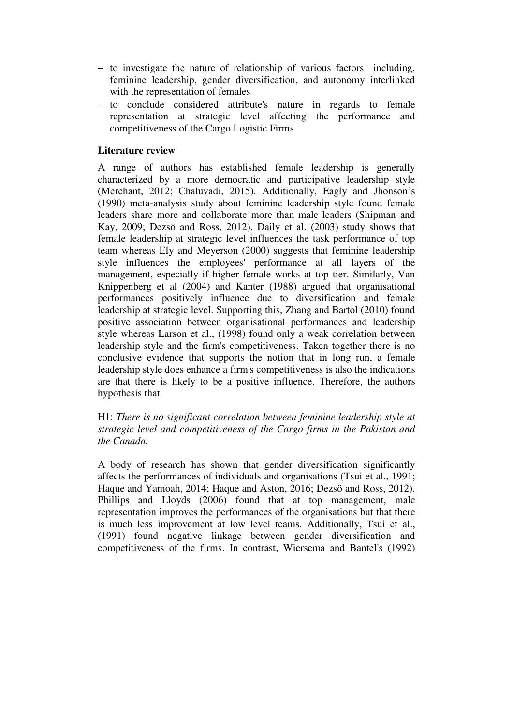- $-$  to investigate the nature of relationship of various factors including, feminine leadership, gender diversification, and autonomy interlinked with the representation of females
- to conclude considered attribute's nature in regards to female representation at strategic level affecting the performance and competitiveness of the Cargo Logistic Firms

#### **Literature review**

A range of authors has established female leadership is generally characterized by a more democratic and participative leadership style (Merchant, 2012; Chaluvadi, 2015). Additionally, Eagly and Jhonson's (1990) meta-analysis study about feminine leadership style found female leaders share more and collaborate more than male leaders (Shipman and Kay, 2009; Dezsö and Ross, 2012). Daily et al. (2003) study shows that female leadership at strategic level influences the task performance of top team whereas Ely and Meyerson (2000) suggests that feminine leadership style influences the employees' performance at all layers of the management, especially if higher female works at top tier. Similarly, Van Knippenberg et al (2004) and Kanter (1988) argued that organisational performances positively influence due to diversification and female leadership at strategic level. Supporting this, Zhang and Bartol (2010) found positive association between organisational performances and leadership style whereas Larson et al., (1998) found only a weak correlation between leadership style and the firm's competitiveness. Taken together there is no conclusive evidence that supports the notion that in long run, a female leadership style does enhance a firm's competitiveness is also the indications are that there is likely to be a positive influence. Therefore, the authors hypothesis that

H1: *There is no significant correlation between feminine leadership style at strategic level and competitiveness of the Cargo firms in the Pakistan and the Canada.*

A body of research has shown that gender diversification significantly affects the performances of individuals and organisations (Tsui et al., 1991; Haque and Yamoah, 2014; Haque and Aston, 2016; Dezsö and Ross, 2012). Phillips and Lloyds (2006) found that at top management, male representation improves the performances of the organisations but that there is much less improvement at low level teams. Additionally, Tsui et al., (1991) found negative linkage between gender diversification and competitiveness of the firms. In contrast, Wiersema and Bantel's (1992)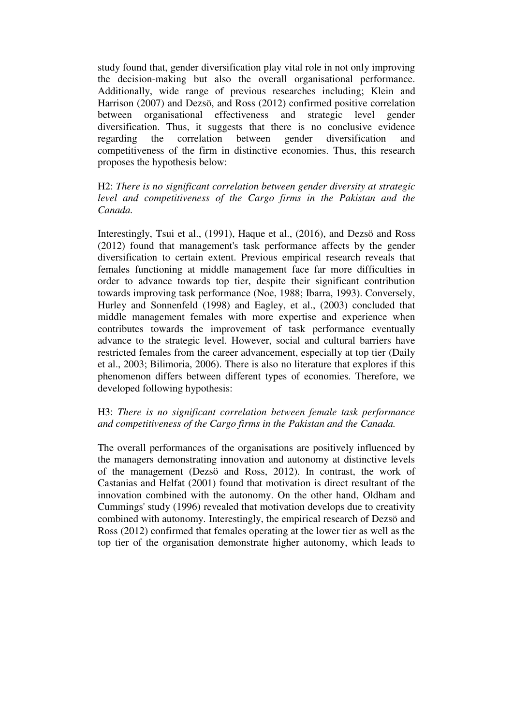study found that, gender diversification play vital role in not only improving the decision-making but also the overall organisational performance. Additionally, wide range of previous researches including; Klein and Harrison (2007) and Dezsö, and Ross (2012) confirmed positive correlation between organisational effectiveness and strategic level gender diversification. Thus, it suggests that there is no conclusive evidence regarding the correlation between gender diversification and competitiveness of the firm in distinctive economies. Thus, this research proposes the hypothesis below:

H2: *There is no significant correlation between gender diversity at strategic level and competitiveness of the Cargo firms in the Pakistan and the Canada.*

Interestingly, Tsui et al., (1991), Haque et al., (2016), and Dezsö and Ross (2012) found that management's task performance affects by the gender diversification to certain extent. Previous empirical research reveals that females functioning at middle management face far more difficulties in order to advance towards top tier, despite their significant contribution towards improving task performance (Noe, 1988; Ibarra, 1993). Conversely, Hurley and Sonnenfeld (1998) and Eagley, et al., (2003) concluded that middle management females with more expertise and experience when contributes towards the improvement of task performance eventually advance to the strategic level. However, social and cultural barriers have restricted females from the career advancement, especially at top tier (Daily et al., 2003; Bilimoria, 2006). There is also no literature that explores if this phenomenon differs between different types of economies. Therefore, we developed following hypothesis:

## H3: *There is no significant correlation between female task performance and competitiveness of the Cargo firms in the Pakistan and the Canada.*

The overall performances of the organisations are positively influenced by the managers demonstrating innovation and autonomy at distinctive levels of the management (Dezsö and Ross, 2012). In contrast, the work of Castanias and Helfat (2001) found that motivation is direct resultant of the innovation combined with the autonomy. On the other hand, Oldham and Cummings' study (1996) revealed that motivation develops due to creativity combined with autonomy. Interestingly, the empirical research of Dezsö and Ross (2012) confirmed that females operating at the lower tier as well as the top tier of the organisation demonstrate higher autonomy, which leads to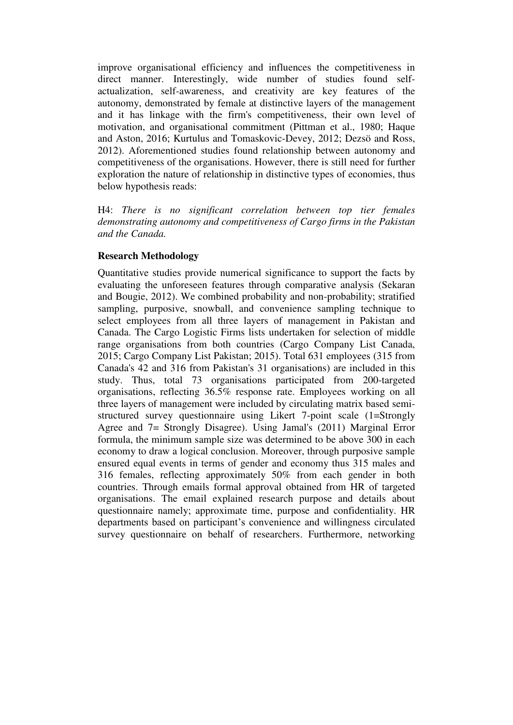improve organisational efficiency and influences the competitiveness in direct manner. Interestingly, wide number of studies found selfactualization, self-awareness, and creativity are key features of the autonomy, demonstrated by female at distinctive layers of the management and it has linkage with the firm's competitiveness, their own level of motivation, and organisational commitment (Pittman et al., 1980; Haque and Aston, 2016; Kurtulus and Tomaskovic-Devey, 2012; Dezsö and Ross, 2012). Aforementioned studies found relationship between autonomy and competitiveness of the organisations. However, there is still need for further exploration the nature of relationship in distinctive types of economies, thus below hypothesis reads:

H4: *There is no significant correlation between top tier females demonstrating autonomy and competitiveness of Cargo firms in the Pakistan and the Canada.* 

#### **Research Methodology**

Quantitative studies provide numerical significance to support the facts by evaluating the unforeseen features through comparative analysis (Sekaran and Bougie, 2012). We combined probability and non-probability; stratified sampling, purposive, snowball, and convenience sampling technique to select employees from all three layers of management in Pakistan and Canada. The Cargo Logistic Firms lists undertaken for selection of middle range organisations from both countries (Cargo Company List Canada, 2015; Cargo Company List Pakistan; 2015). Total 631 employees (315 from Canada's 42 and 316 from Pakistan's 31 organisations) are included in this study. Thus, total 73 organisations participated from 200-targeted organisations, reflecting 36.5% response rate. Employees working on all three layers of management were included by circulating matrix based semistructured survey questionnaire using Likert 7-point scale (1=Strongly Agree and 7= Strongly Disagree). Using Jamal's (2011) Marginal Error formula, the minimum sample size was determined to be above 300 in each economy to draw a logical conclusion. Moreover, through purposive sample ensured equal events in terms of gender and economy thus 315 males and 316 females, reflecting approximately 50% from each gender in both countries. Through emails formal approval obtained from HR of targeted organisations. The email explained research purpose and details about questionnaire namely; approximate time, purpose and confidentiality. HR departments based on participant's convenience and willingness circulated survey questionnaire on behalf of researchers. Furthermore, networking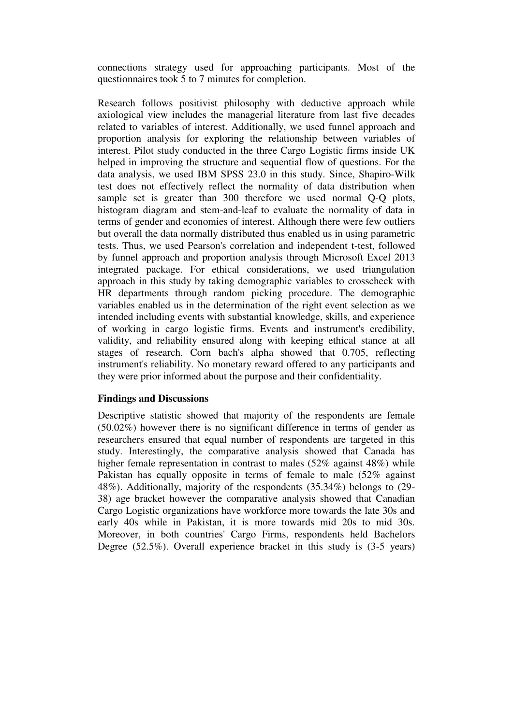connections strategy used for approaching participants. Most of the questionnaires took 5 to 7 minutes for completion.

Research follows positivist philosophy with deductive approach while axiological view includes the managerial literature from last five decades related to variables of interest. Additionally, we used funnel approach and proportion analysis for exploring the relationship between variables of interest. Pilot study conducted in the three Cargo Logistic firms inside UK helped in improving the structure and sequential flow of questions. For the data analysis, we used IBM SPSS 23.0 in this study. Since, Shapiro-Wilk test does not effectively reflect the normality of data distribution when sample set is greater than 300 therefore we used normal Q-Q plots, histogram diagram and stem-and-leaf to evaluate the normality of data in terms of gender and economies of interest. Although there were few outliers but overall the data normally distributed thus enabled us in using parametric tests. Thus, we used Pearson's correlation and independent t-test, followed by funnel approach and proportion analysis through Microsoft Excel 2013 integrated package. For ethical considerations, we used triangulation approach in this study by taking demographic variables to crosscheck with HR departments through random picking procedure. The demographic variables enabled us in the determination of the right event selection as we intended including events with substantial knowledge, skills, and experience of working in cargo logistic firms. Events and instrument's credibility, validity, and reliability ensured along with keeping ethical stance at all stages of research. Corn bach's alpha showed that 0.705, reflecting instrument's reliability. No monetary reward offered to any participants and they were prior informed about the purpose and their confidentiality.

#### **Findings and Discussions**

Descriptive statistic showed that majority of the respondents are female (50.02%) however there is no significant difference in terms of gender as researchers ensured that equal number of respondents are targeted in this study. Interestingly, the comparative analysis showed that Canada has higher female representation in contrast to males (52% against 48%) while Pakistan has equally opposite in terms of female to male (52% against 48%). Additionally, majority of the respondents (35.34%) belongs to (29- 38) age bracket however the comparative analysis showed that Canadian Cargo Logistic organizations have workforce more towards the late 30s and early 40s while in Pakistan, it is more towards mid 20s to mid 30s. Moreover, in both countries' Cargo Firms, respondents held Bachelors Degree (52.5%). Overall experience bracket in this study is (3-5 years)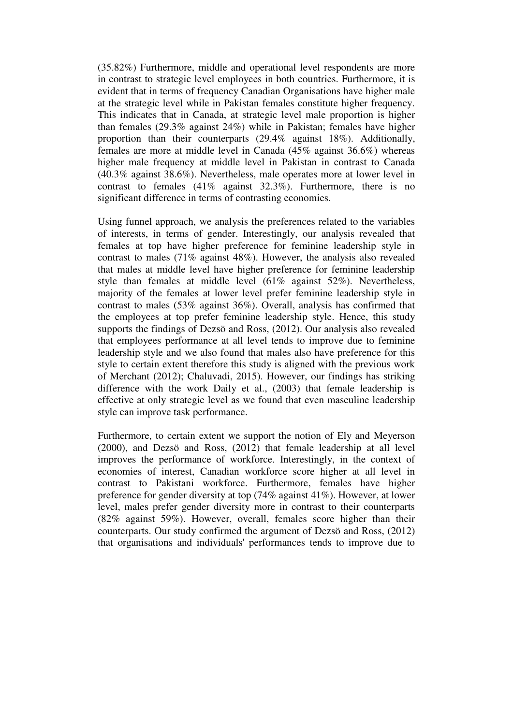(35.82%) Furthermore, middle and operational level respondents are more in contrast to strategic level employees in both countries. Furthermore, it is evident that in terms of frequency Canadian Organisations have higher male at the strategic level while in Pakistan females constitute higher frequency. This indicates that in Canada, at strategic level male proportion is higher than females (29.3% against 24%) while in Pakistan; females have higher proportion than their counterparts (29.4% against 18%). Additionally, females are more at middle level in Canada (45% against 36.6%) whereas higher male frequency at middle level in Pakistan in contrast to Canada (40.3% against 38.6%). Nevertheless, male operates more at lower level in contrast to females (41% against 32.3%). Furthermore, there is no significant difference in terms of contrasting economies.

Using funnel approach, we analysis the preferences related to the variables of interests, in terms of gender. Interestingly, our analysis revealed that females at top have higher preference for feminine leadership style in contrast to males (71% against 48%). However, the analysis also revealed that males at middle level have higher preference for feminine leadership style than females at middle level (61% against 52%). Nevertheless, majority of the females at lower level prefer feminine leadership style in contrast to males (53% against 36%). Overall, analysis has confirmed that the employees at top prefer feminine leadership style. Hence, this study supports the findings of Dezsö and Ross, (2012). Our analysis also revealed that employees performance at all level tends to improve due to feminine leadership style and we also found that males also have preference for this style to certain extent therefore this study is aligned with the previous work of Merchant (2012); Chaluvadi, 2015). However, our findings has striking difference with the work Daily et al., (2003) that female leadership is effective at only strategic level as we found that even masculine leadership style can improve task performance.

Furthermore, to certain extent we support the notion of Ely and Meyerson (2000), and Dezsö and Ross, (2012) that female leadership at all level improves the performance of workforce. Interestingly, in the context of economies of interest, Canadian workforce score higher at all level in contrast to Pakistani workforce. Furthermore, females have higher preference for gender diversity at top (74% against 41%). However, at lower level, males prefer gender diversity more in contrast to their counterparts (82% against 59%). However, overall, females score higher than their counterparts. Our study confirmed the argument of Dezsö and Ross, (2012) that organisations and individuals' performances tends to improve due to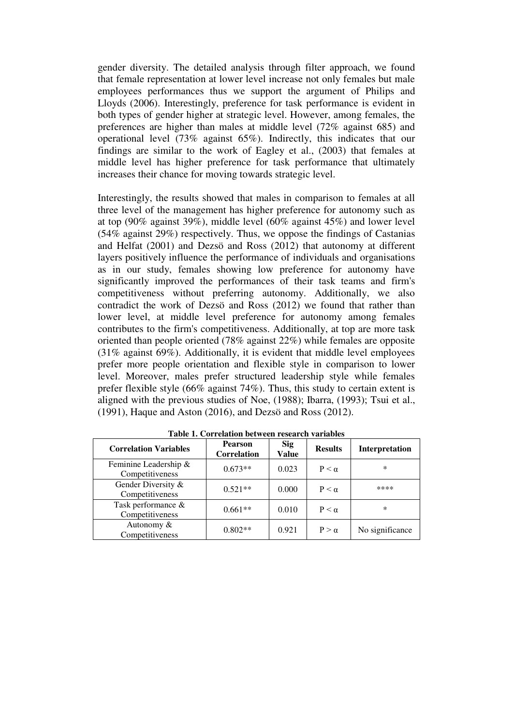gender diversity. The detailed analysis through filter approach, we found that female representation at lower level increase not only females but male employees performances thus we support the argument of Philips and Lloyds (2006). Interestingly, preference for task performance is evident in both types of gender higher at strategic level. However, among females, the preferences are higher than males at middle level (72% against 685) and operational level (73% against 65%). Indirectly, this indicates that our findings are similar to the work of Eagley et al., (2003) that females at middle level has higher preference for task performance that ultimately increases their chance for moving towards strategic level.

Interestingly, the results showed that males in comparison to females at all three level of the management has higher preference for autonomy such as at top (90% against 39%), middle level (60% against 45%) and lower level  $(54\%$  against 29%) respectively. Thus, we oppose the findings of Castanias and Helfat (2001) and Dezsö and Ross (2012) that autonomy at different layers positively influence the performance of individuals and organisations as in our study, females showing low preference for autonomy have significantly improved the performances of their task teams and firm's competitiveness without preferring autonomy. Additionally, we also contradict the work of Dezsö and Ross (2012) we found that rather than lower level, at middle level preference for autonomy among females contributes to the firm's competitiveness. Additionally, at top are more task oriented than people oriented (78% against 22%) while females are opposite (31% against 69%). Additionally, it is evident that middle level employees prefer more people orientation and flexible style in comparison to lower level. Moreover, males prefer structured leadership style while females prefer flexible style (66% against 74%). Thus, this study to certain extent is aligned with the previous studies of Noe, (1988); Ibarra, (1993); Tsui et al., (1991), Haque and Aston (2016), and Dezsö and Ross (2012).

| <b>Correlation Variables</b>             | <b>Pearson</b><br><b>Correlation</b> | <b>Sig</b><br><b>Value</b> | <b>Results</b>  | <b>Interpretation</b> |
|------------------------------------------|--------------------------------------|----------------------------|-----------------|-----------------------|
| Feminine Leadership &<br>Competitiveness | $0.673**$                            | 0.023                      | $P < \alpha$    | $\ast$                |
| Gender Diversity &<br>Competitiveness    | $0.521**$                            | 0.000                      | $P \leq \alpha$ | ****                  |
| Task performance &<br>Competitiveness    | $0.661**$                            | 0.010                      | $P \leq \alpha$ | $\ast$                |
| Autonomy &<br>Competitiveness            | $0.802**$                            | 0.921                      | $P > \alpha$    | No significance       |

**Table 1. Correlation between research variables**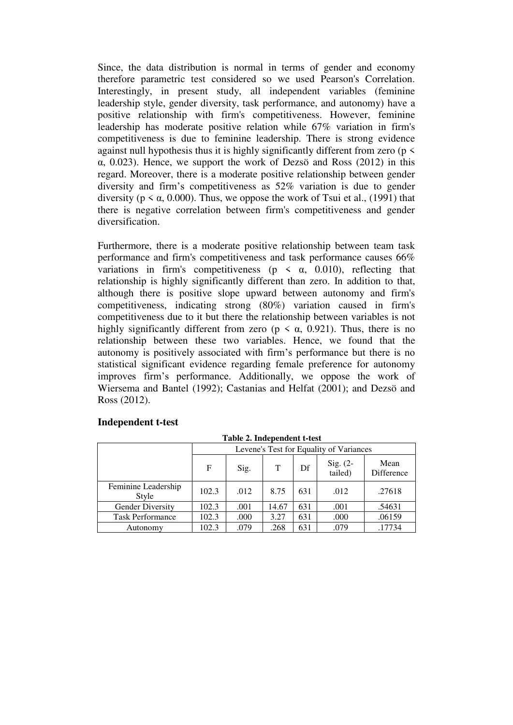Since, the data distribution is normal in terms of gender and economy therefore parametric test considered so we used Pearson's Correlation. Interestingly, in present study, all independent variables (feminine leadership style, gender diversity, task performance, and autonomy) have a positive relationship with firm's competitiveness. However, feminine leadership has moderate positive relation while 67% variation in firm's competitiveness is due to feminine leadership. There is strong evidence against null hypothesis thus it is highly significantly different from zero ( $p \le$ α, 0.023). Hence, we support the work of Dezsö and Ross (2012) in this regard. Moreover, there is a moderate positive relationship between gender diversity and firm's competitiveness as 52% variation is due to gender diversity ( $p \le \alpha$ , 0.000). Thus, we oppose the work of Tsui et al., (1991) that there is negative correlation between firm's competitiveness and gender diversification.

Furthermore, there is a moderate positive relationship between team task performance and firm's competitiveness and task performance causes 66% variations in firm's competitiveness ( $p \le \alpha$ , 0.010), reflecting that relationship is highly significantly different than zero. In addition to that, although there is positive slope upward between autonomy and firm's competitiveness, indicating strong (80%) variation caused in firm's competitiveness due to it but there the relationship between variables is not highly significantly different from zero ( $p \lt \alpha$ , 0.921). Thus, there is no relationship between these two variables. Hence, we found that the autonomy is positively associated with firm's performance but there is no statistical significant evidence regarding female preference for autonomy improves firm's performance. Additionally, we oppose the work of Wiersema and Bantel (1992); Castanias and Helfat (2001); and Dezsö and Ross (2012).

| raon si macpenaem e test     |                                         |      |       |     |                       |                    |  |  |  |
|------------------------------|-----------------------------------------|------|-------|-----|-----------------------|--------------------|--|--|--|
|                              | Levene's Test for Equality of Variances |      |       |     |                       |                    |  |  |  |
|                              | F                                       | Sig. | T     | Df  | Sig. $(2-$<br>tailed) | Mean<br>Difference |  |  |  |
| Feminine Leadership<br>Style | 102.3                                   | .012 | 8.75  | 631 | .012                  | .27618             |  |  |  |
| <b>Gender Diversity</b>      | 102.3                                   | .001 | 14.67 | 631 | .001                  | .54631             |  |  |  |
| <b>Task Performance</b>      | 102.3                                   | .000 | 3.27  | 631 | .000                  | .06159             |  |  |  |
| Autonomy                     | 102.3                                   | .079 | .268  | 631 | .079                  | .17734             |  |  |  |

# **Independent t-test**

**Table 2. Independent t-test**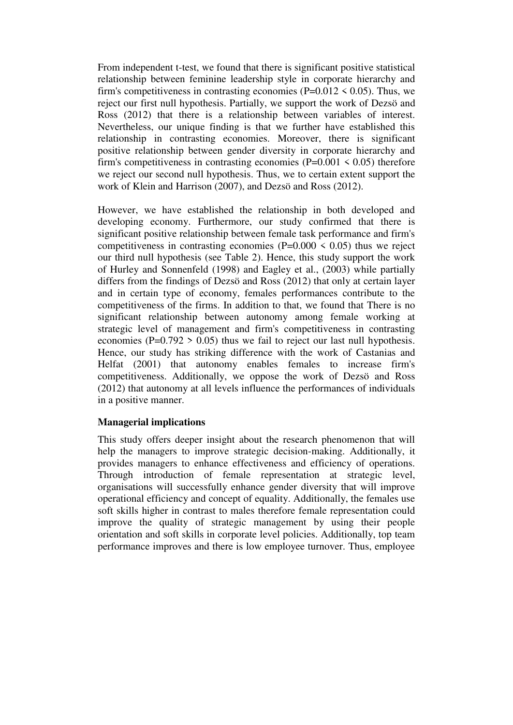From independent t-test, we found that there is significant positive statistical relationship between feminine leadership style in corporate hierarchy and firm's competitiveness in contrasting economies ( $P=0.012 \le 0.05$ ). Thus, we reject our first null hypothesis. Partially, we support the work of Dezsö and Ross (2012) that there is a relationship between variables of interest. Nevertheless, our unique finding is that we further have established this relationship in contrasting economies. Moreover, there is significant positive relationship between gender diversity in corporate hierarchy and firm's competitiveness in contrasting economies ( $P=0.001 \le 0.05$ ) therefore we reject our second null hypothesis. Thus, we to certain extent support the work of Klein and Harrison (2007), and Dezsö and Ross (2012).

However, we have established the relationship in both developed and developing economy. Furthermore, our study confirmed that there is significant positive relationship between female task performance and firm's competitiveness in contrasting economies ( $P=0.000 \le 0.05$ ) thus we reject our third null hypothesis (see Table 2). Hence, this study support the work of Hurley and Sonnenfeld (1998) and Eagley et al., (2003) while partially differs from the findings of Dezsö and Ross (2012) that only at certain layer and in certain type of economy, females performances contribute to the competitiveness of the firms. In addition to that, we found that There is no significant relationship between autonomy among female working at strategic level of management and firm's competitiveness in contrasting economies ( $P=0.792 > 0.05$ ) thus we fail to reject our last null hypothesis. Hence, our study has striking difference with the work of Castanias and Helfat (2001) that autonomy enables females to increase firm's competitiveness. Additionally, we oppose the work of Dezsö and Ross (2012) that autonomy at all levels influence the performances of individuals in a positive manner.

# **Managerial implications**

This study offers deeper insight about the research phenomenon that will help the managers to improve strategic decision-making. Additionally, it provides managers to enhance effectiveness and efficiency of operations. Through introduction of female representation at strategic level, organisations will successfully enhance gender diversity that will improve operational efficiency and concept of equality. Additionally, the females use soft skills higher in contrast to males therefore female representation could improve the quality of strategic management by using their people orientation and soft skills in corporate level policies. Additionally, top team performance improves and there is low employee turnover. Thus, employee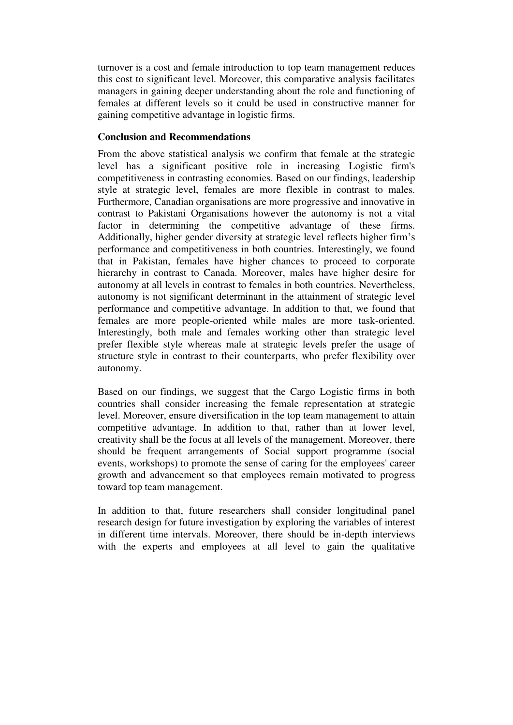turnover is a cost and female introduction to top team management reduces this cost to significant level. Moreover, this comparative analysis facilitates managers in gaining deeper understanding about the role and functioning of females at different levels so it could be used in constructive manner for gaining competitive advantage in logistic firms.

## **Conclusion and Recommendations**

From the above statistical analysis we confirm that female at the strategic level has a significant positive role in increasing Logistic firm's competitiveness in contrasting economies. Based on our findings, leadership style at strategic level, females are more flexible in contrast to males. Furthermore, Canadian organisations are more progressive and innovative in contrast to Pakistani Organisations however the autonomy is not a vital factor in determining the competitive advantage of these firms. Additionally, higher gender diversity at strategic level reflects higher firm's performance and competitiveness in both countries. Interestingly, we found that in Pakistan, females have higher chances to proceed to corporate hierarchy in contrast to Canada. Moreover, males have higher desire for autonomy at all levels in contrast to females in both countries. Nevertheless, autonomy is not significant determinant in the attainment of strategic level performance and competitive advantage. In addition to that, we found that females are more people-oriented while males are more task-oriented. Interestingly, both male and females working other than strategic level prefer flexible style whereas male at strategic levels prefer the usage of structure style in contrast to their counterparts, who prefer flexibility over autonomy.

Based on our findings, we suggest that the Cargo Logistic firms in both countries shall consider increasing the female representation at strategic level. Moreover, ensure diversification in the top team management to attain competitive advantage. In addition to that, rather than at lower level, creativity shall be the focus at all levels of the management. Moreover, there should be frequent arrangements of Social support programme (social events, workshops) to promote the sense of caring for the employees' career growth and advancement so that employees remain motivated to progress toward top team management.

In addition to that, future researchers shall consider longitudinal panel research design for future investigation by exploring the variables of interest in different time intervals. Moreover, there should be in-depth interviews with the experts and employees at all level to gain the qualitative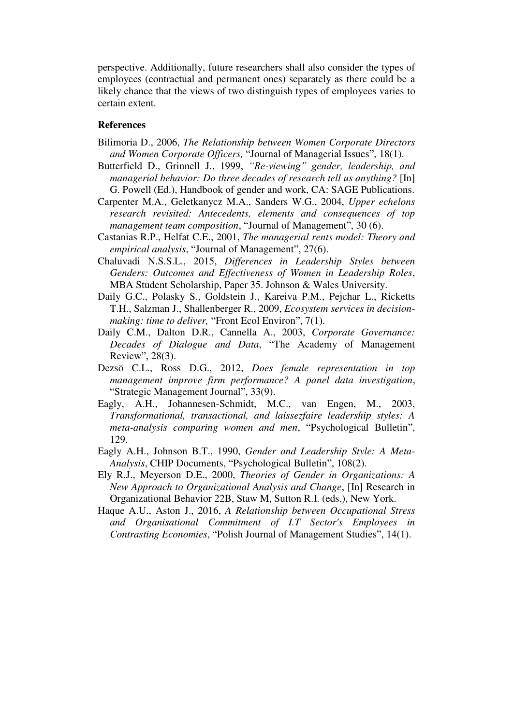perspective. Additionally, future researchers shall also consider the types of employees (contractual and permanent ones) separately as there could be a likely chance that the views of two distinguish types of employees varies to certain extent.

#### **References**

- Bilimoria D., 2006, *The Relationship between Women Corporate Directors and Women Corporate Officers,* "Journal of Managerial Issues", 18(1).
- Butterfield D., Grinnell J., 1999, *"Re-viewing" gender, leadership, and managerial behavior: Do three decades of research tell us anything?* [In] G. Powell (Ed.), Handbook of gender and work, CA: SAGE Publications.
- Carpenter M.A., Geletkanycz M.A., Sanders W.G., 2004, *Upper echelons research revisited: Antecedents, elements and consequences of top management team composition*, "Journal of Management", 30 (6).
- Castanias R.P., Helfat C.E., 2001, *The managerial rents model: Theory and empirical analysis*, "Journal of Management", 27(6).
- Chaluvadi N.S.S.L., 2015, *Differences in Leadership Styles between Genders: Outcomes and Effectiveness of Women in Leadership Roles*, MBA Student Scholarship, Paper 35. Johnson & Wales University.
- Daily G.C., Polasky S., Goldstein J., Kareiva P.M., Pejchar L., Ricketts T.H., Salzman J., Shallenberger R., 2009, *Ecosystem services in decisionmaking: time to deliver,* "Front Ecol Environ", 7(1).
- Daily C.M., Dalton D.R., Cannella A., 2003, *Corporate Governance: Decades of Dialogue and Data*, "The Academy of Management Review", 28(3).
- Dezsö C.L., Ross D.G., 2012, *Does female representation in top management improve firm performance? A panel data investigation*, "Strategic Management Journal", 33(9).
- Eagly, A.H., Johannesen-Schmidt, M.C., van Engen, M., 2003, *Transformational, transactional, and laissezfaire leadership styles: A meta-analysis comparing women and men*, "Psychological Bulletin", 129.
- Eagly A.H., Johnson B.T., 1990, *Gender and Leadership Style: A Meta-Analysis*, CHIP Documents, "Psychological Bulletin", 108(2).
- Ely R.J., Meyerson D.E., 2000, *Theories of Gender in Organizations: A New Approach to Organizational Analysis and Change*, [In] Research in Organizational Behavior 22B, Staw M, Sutton R.I. (eds.), New York.
- Haque A.U., Aston J., 2016, *A Relationship between Occupational Stress and Organisational Commitment of I.T Sector's Employees in Contrasting Economies*, "Polish Journal of Management Studies", 14(1).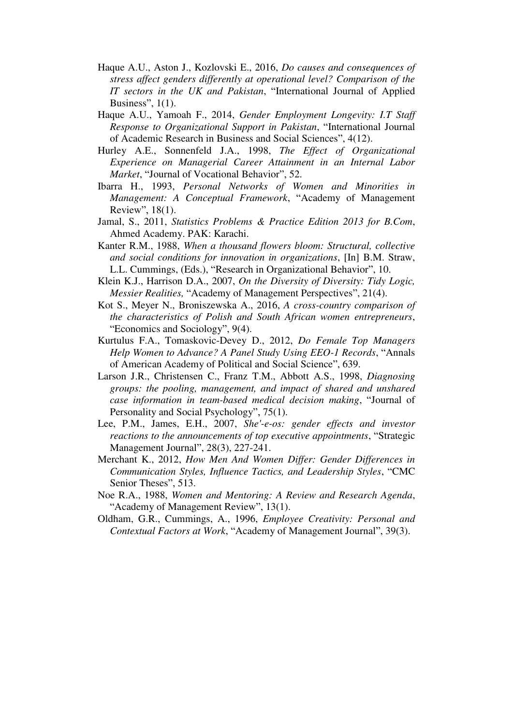- Haque A.U., Aston J., Kozlovski E., 2016, *Do causes and consequences of stress affect genders differently at operational level? Comparison of the IT sectors in the UK and Pakistan*, "International Journal of Applied Business", 1(1).
- Haque A.U., Yamoah F., 2014, *Gender Employment Longevity: I.T Staff Response to Organizational Support in Pakistan*, "International Journal of Academic Research in Business and Social Sciences", 4(12).
- Hurley A.E., Sonnenfeld J.A., 1998, *The Effect of Organizational Experience on Managerial Career Attainment in an Internal Labor Market*, "Journal of Vocational Behavior", 52.
- Ibarra H., 1993, *Personal Networks of Women and Minorities in Management: A Conceptual Framework*, "Academy of Management Review", 18(1).
- Jamal, S., 2011, *Statistics Problems & Practice Edition 2013 for B.Com*, Ahmed Academy. PAK: Karachi.
- Kanter R.M., 1988, *When a thousand flowers bloom: Structural, collective and social conditions for innovation in organizations*, [In] B.M. Straw, L.L. Cummings, (Eds.), "Research in Organizational Behavior", 10.
- Klein K.J., Harrison D.A., 2007, *On the Diversity of Diversity: Tidy Logic, Messier Realities,* "Academy of Management Perspectives", 21(4).
- Kot S., Meyer N., Broniszewska A., 2016, *A cross-country comparison of the characteristics of Polish and South African women entrepreneurs*, "Economics and Sociology", 9(4).
- Kurtulus F.A., Tomaskovic-Devey D., 2012, *Do Female Top Managers Help Women to Advance? A Panel Study Using EEO-1 Records*, "Annals of American Academy of Political and Social Science", 639.
- Larson J.R., Christensen C., Franz T.M., Abbott A.S., 1998, *Diagnosing groups: the pooling, management, and impact of shared and unshared case information in team-based medical decision making*, "Journal of Personality and Social Psychology", 75(1).
- Lee, P.M., James, E.H., 2007, *She'-e-os: gender effects and investor reactions to the announcements of top executive appointments*, "Strategic Management Journal", 28(3), 227-241.
- Merchant K., 2012, *How Men And Women Differ: Gender Differences in Communication Styles, Influence Tactics, and Leadership Styles*, "CMC Senior Theses", 513.
- Noe R.A., 1988, *Women and Mentoring: A Review and Research Agenda*, "Academy of Management Review", 13(1).
- Oldham, G.R., Cummings, A., 1996, *Employee Creativity: Personal and Contextual Factors at Work*, "Academy of Management Journal", 39(3).